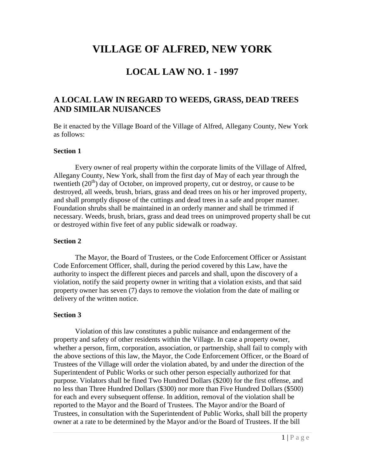# **VILLAGE OF ALFRED, NEW YORK**

## **LOCAL LAW NO. 1 - 1997**

### **A LOCAL LAW IN REGARD TO WEEDS, GRASS, DEAD TREES AND SIMILAR NUISANCES**

Be it enacted by the Village Board of the Village of Alfred, Allegany County, New York as follows:

### **Section 1**

Every owner of real property within the corporate limits of the Village of Alfred, Allegany County, New York, shall from the first day of May of each year through the twentieth (20<sup>th</sup>) day of October, on improved property, cut or destroy, or cause to be destroyed, all weeds, brush, briars, grass and dead trees on his or her improved property, and shall promptly dispose of the cuttings and dead trees in a safe and proper manner. Foundation shrubs shall be maintained in an orderly manner and shall be trimmed if necessary. Weeds, brush, briars, grass and dead trees on unimproved property shall be cut or destroyed within five feet of any public sidewalk or roadway.

#### **Section 2**

The Mayor, the Board of Trustees, or the Code Enforcement Officer or Assistant Code Enforcement Officer, shall, during the period covered by this Law, have the authority to inspect the different pieces and parcels and shall, upon the discovery of a violation, notify the said property owner in writing that a violation exists, and that said property owner has seven (7) days to remove the violation from the date of mailing or delivery of the written notice.

### **Section 3**

Violation of this law constitutes a public nuisance and endangerment of the property and safety of other residents within the Village. In case a property owner, whether a person, firm, corporation, association, or partnership, shall fail to comply with the above sections of this law, the Mayor, the Code Enforcement Officer, or the Board of Trustees of the Village will order the violation abated, by and under the direction of the Superintendent of Public Works or such other person especially authorized for that purpose. Violators shall be fined Two Hundred Dollars (\$200) for the first offense, and no less than Three Hundred Dollars (\$300) nor more than Five Hundred Dollars (\$500) for each and every subsequent offense. In addition, removal of the violation shall be reported to the Mayor and the Board of Trustees. The Mayor and/or the Board of Trustees, in consultation with the Superintendent of Public Works, shall bill the property owner at a rate to be determined by the Mayor and/or the Board of Trustees. If the bill